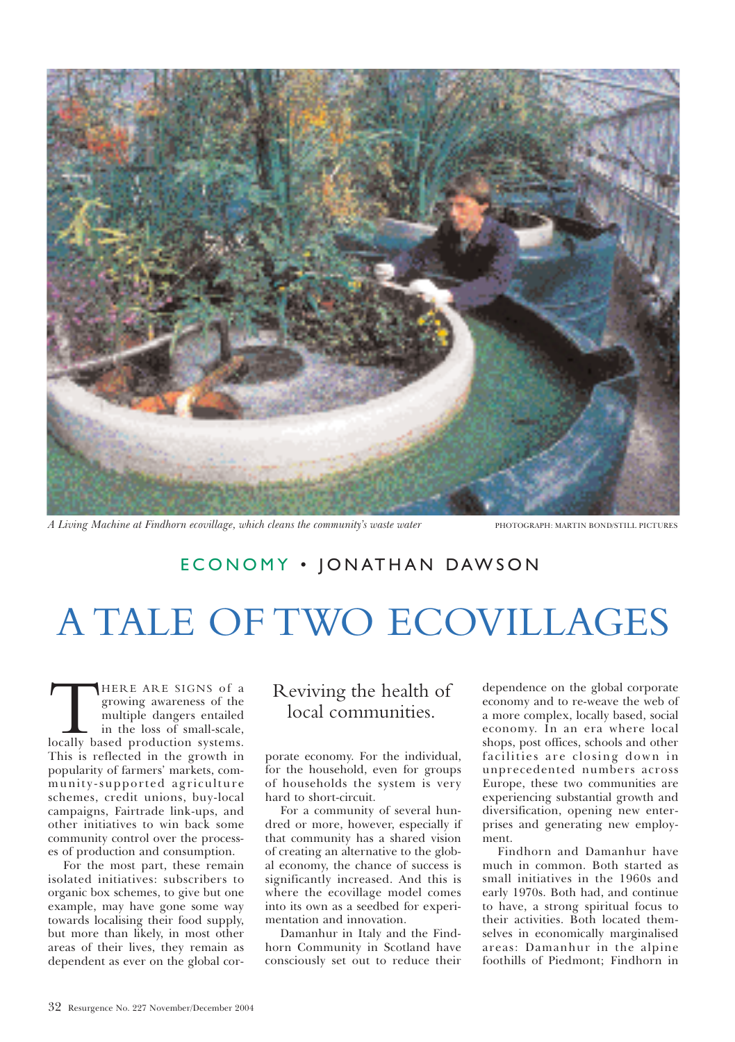

*A Living Machine at Findhorn ecovillage, which cleans the community's waste water* PHOTOGRAPH: MARTIN BOND/STILL PICTURES

## ECONOMY · JONATHAN DAWSON

## A TALE OF TWO ECOVILLAGES

THERE ARE SIGNS of a<br>growing awareness of the<br>multiple dangers entailed<br>in the loss of small-scale,<br>locally based production systems. growing awareness of the multiple dangers entailed in the loss of small-scale, This is reflected in the growth in popularity of farmers' markets, community-supported agriculture schemes, credit unions, buy-local campaigns, Fairtrade link-ups, and other initiatives to win back some community control over the processes of production and consumption.

For the most part, these remain isolated initiatives: subscribers to organic box schemes, to give but one example, may have gone some way towards localising their food supply, but more than likely, in most other areas of their lives, they remain as dependent as ever on the global cor-

## Reviving the health of local communities.

porate economy. For the individual, for the household, even for groups of households the system is very hard to short-circuit.

For a community of several hundred or more, however, especially if that community has a shared vision of creating an alternative to the global economy, the chance of success is significantly increased. And this is where the ecovillage model comes into its own as a seedbed for experimentation and innovation.

Damanhur in Italy and the Findhorn Community in Scotland have consciously set out to reduce their

dependence on the global corporate economy and to re-weave the web of a more complex, locally based, social economy. In an era where local shops, post offices, schools and other facilities are closing down in unprecedented numbers across Europe, these two communities are experiencing substantial growth and diversification, opening new enterprises and generating new employment.

Findhorn and Damanhur have much in common. Both started as small initiatives in the 1960s and early 1970s. Both had, and continue to have, a strong spiritual focus to their activities. Both located themselves in economically marginalised areas: Damanhur in the alpine foothills of Piedmont; Findhorn in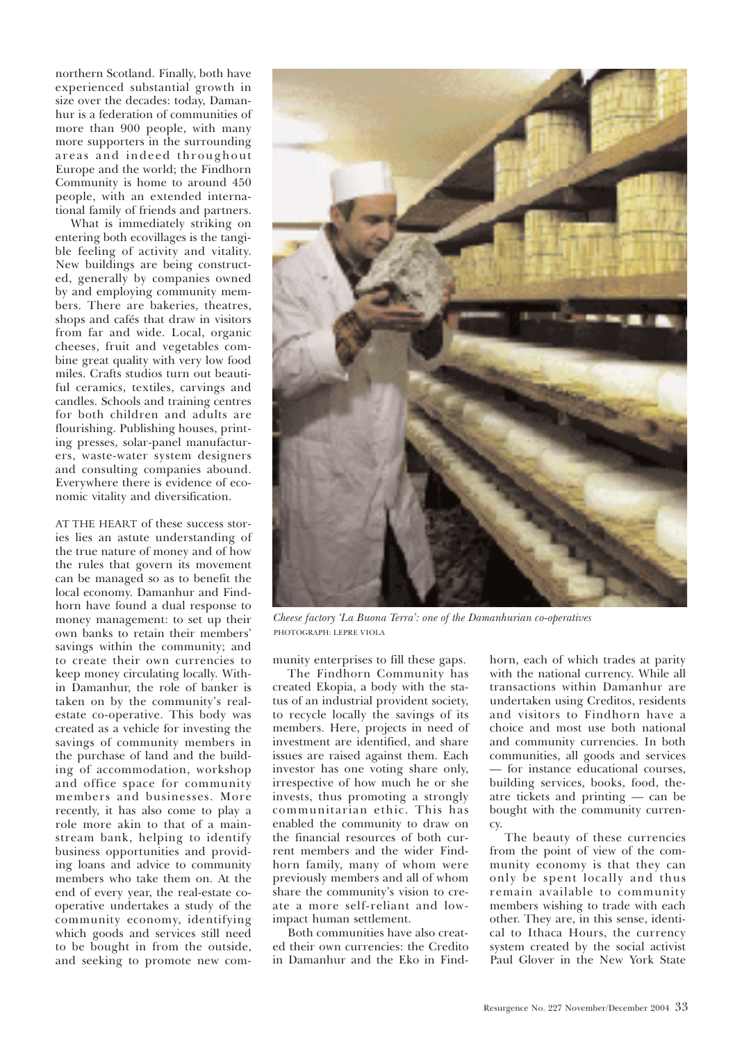northern Scotland. Finally, both have experienced substantial growth in size over the decades: today, Damanhur is a federation of communities of more than 900 people, with many more supporters in the surrounding areas and indeed throughout Europe and the world; the Findhorn Community is home to around 450 people, with an extended international family of friends and partners.

What is immediately striking on entering both ecovillages is the tangible feeling of activity and vitality. New buildings are being constructed, generally by companies owned by and employing community members. There are bakeries, theatres, shops and cafés that draw in visitors from far and wide. Local, organic cheeses, fruit and vegetables combine great quality with very low food miles. Crafts studios turn out beautiful ceramics, textiles, carvings and candles. Schools and training centres for both children and adults are flourishing. Publishing houses, printing presses, solar-panel manufacturers, waste-water system designers and consulting companies abound. Everywhere there is evidence of economic vitality and diversification.

AT THE HEART of these success stories lies an astute understanding of the true nature of money and of how the rules that govern its movement can be managed so as to benefit the local economy. Damanhur and Findhorn have found a dual response to money management: to set up their own banks to retain their members' savings within the community; and to create their own currencies to keep money circulating locally. Within Damanhur, the role of banker is taken on by the community's realestate co-operative. This body was created as a vehicle for investing the savings of community members in the purchase of land and the building of accommodation, workshop and office space for community members and businesses. More recently, it has also come to play a role more akin to that of a mainstream bank, helping to identify business opportunities and providing loans and advice to community members who take them on. At the end of every year, the real-estate cooperative undertakes a study of the community economy, identifying which goods and services still need to be bought in from the outside, and seeking to promote new com-



*Cheese factory 'La Buona Terra': one of the Damanhurian co-operatives* PHOTOGRAPH: LEPRE VIOLA

munity enterprises to fill these gaps.

The Findhorn Community has created Ekopia, a body with the status of an industrial provident society, to recycle locally the savings of its members. Here, projects in need of investment are identified, and share issues are raised against them. Each investor has one voting share only, irrespective of how much he or she invests, thus promoting a strongly communitarian ethic. This has enabled the community to draw on the financial resources of both current members and the wider Findhorn family, many of whom were previously members and all of whom share the community's vision to create a more self-reliant and lowimpact human settlement.

Both communities have also created their own currencies: the Credito in Damanhur and the Eko in Find-

horn, each of which trades at parity with the national currency. While all transactions within Damanhur are undertaken using Creditos, residents and visitors to Findhorn have a choice and most use both national and community currencies. In both communities, all goods and services — for instance educational courses, building services, books, food, theatre tickets and printing — can be bought with the community currency.

The beauty of these currencies from the point of view of the community economy is that they can only be spent locally and thus remain available to community members wishing to trade with each other. They are, in this sense, identical to Ithaca Hours, the currency system created by the social activist Paul Glover in the New York State